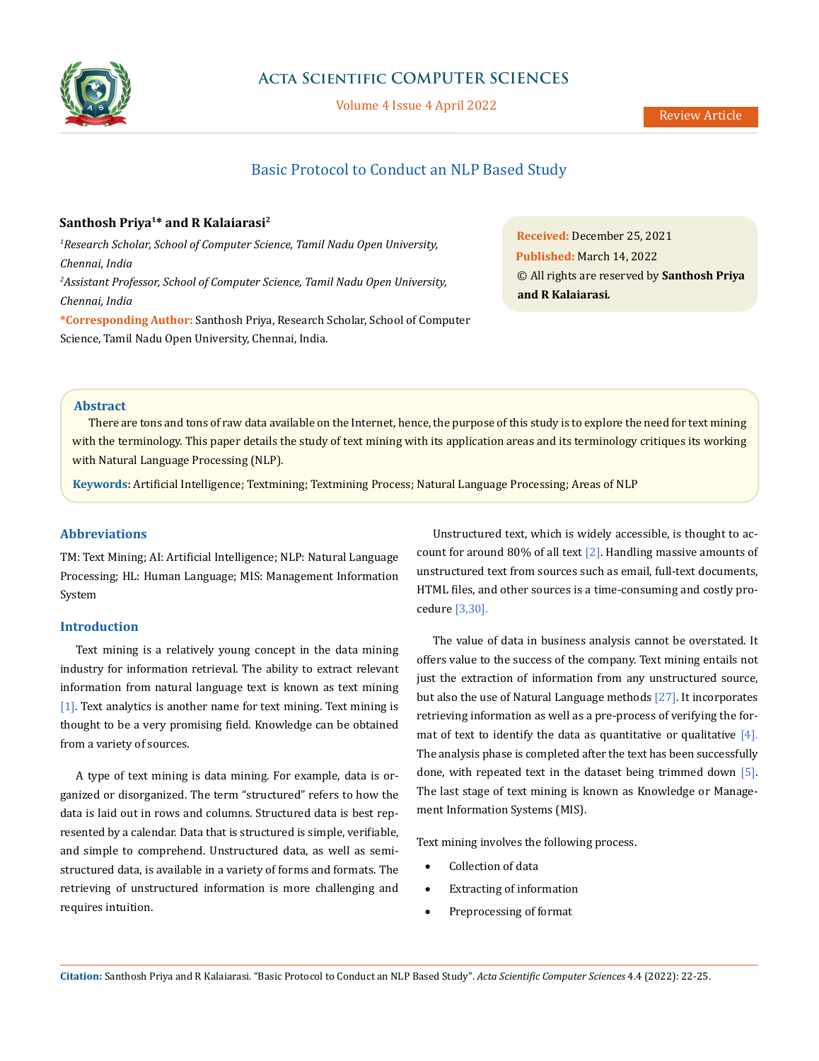

## **Acta Scientific COMPUTER SCIENCES**

Volume 4 Issue 4 April 2022

# Basic Protocol to Conduct an NLP Based Study

## **Santhosh Priya1\* and R Kalaiarasi2**

*1 Research Scholar, School of Computer Science, Tamil Nadu Open University, Chennai, India 2 Assistant Professor, School of Computer Science, Tamil Nadu Open University, Chennai, India* 

**\*Corresponding Author:** Santhosh Priya, Research Scholar, School of Computer Science, Tamil Nadu Open University, Chennai, India.

**Received:** December 25, 2021 **Published:** March 14, 2022 © All rights are reserved by **Santhosh Priya and R Kalaiarasi***.*

## **Abstract**

There are tons and tons of raw data available on the Internet, hence, the purpose of this study is to explore the need for text mining with the terminology. This paper details the study of text mining with its application areas and its terminology critiques its working with Natural Language Processing (NLP).

**Keywords:** Artificial Intelligence; Textmining; Textmining Process; Natural Language Processing; Areas of NLP

## **Abbreviations**

TM: Text Mining; AI: Artificial Intelligence; NLP: Natural Language Processing; HL: Human Language; MIS: Management Information System

## **Introduction**

Text mining is a relatively young concept in the data mining industry for information retrieval. The ability to extract relevant information from natural language text is known as text mining [1]. Text analytics is another name for text mining. Text mining is thought to be a very promising field. Knowledge can be obtained from a variety of sources.

A type of text mining is data mining. For example, data is organized or disorganized. The term "structured" refers to how the data is laid out in rows and columns. Structured data is best represented by a calendar. Data that is structured is simple, verifiable, and simple to comprehend. Unstructured data, as well as semistructured data, is available in a variety of forms and formats. The retrieving of unstructured information is more challenging and requires intuition.

Unstructured text, which is widely accessible, is thought to account for around 80% of all text [2]. Handling massive amounts of unstructured text from sources such as email, full-text documents, HTML files, and other sources is a time-consuming and costly procedure [3,30].

The value of data in business analysis cannot be overstated. It offers value to the success of the company. Text mining entails not just the extraction of information from any unstructured source, but also the use of Natural Language methods [27]. It incorporates retrieving information as well as a pre-process of verifying the format of text to identify the data as quantitative or qualitative  $[4]$ . The analysis phase is completed after the text has been successfully done, with repeated text in the dataset being trimmed down [5]. The last stage of text mining is known as Knowledge or Management Information Systems (MIS).

Text mining involves the following process.

- Collection of data
- • Extracting of information
- Preprocessing of format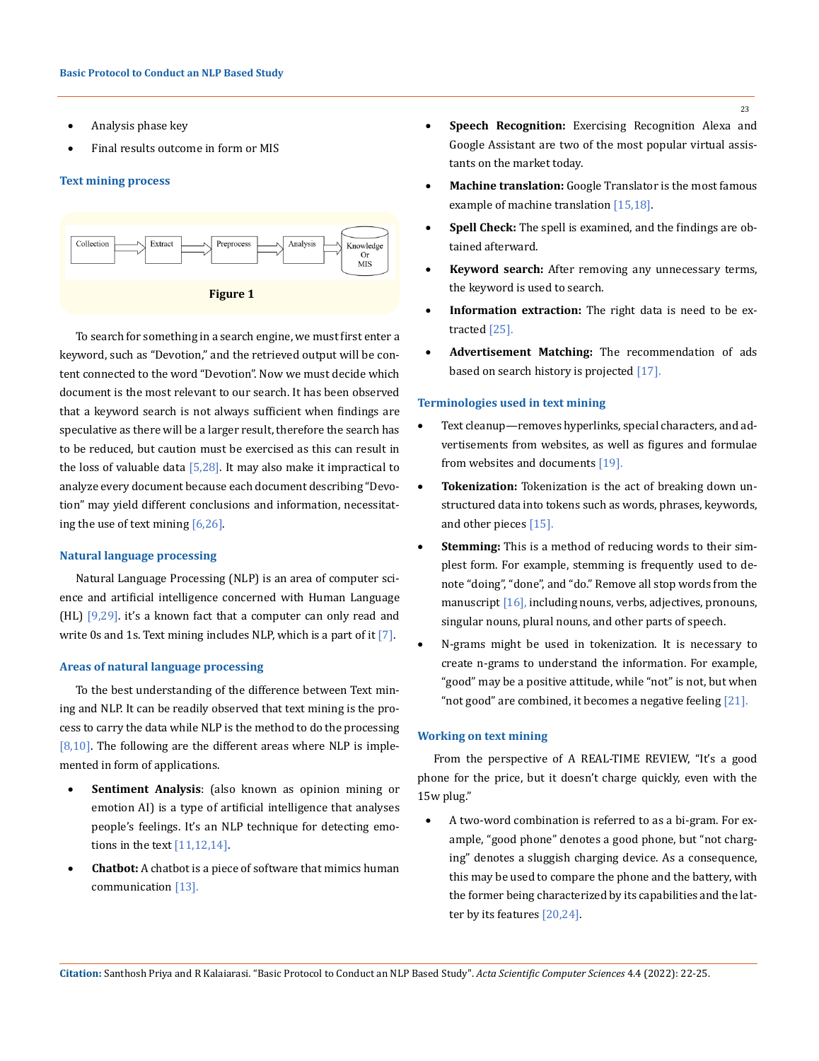- Analysis phase key
- Final results outcome in form or MIS

#### **Text mining process**



To search for something in a search engine, we must first enter a keyword, such as "Devotion," and the retrieved output will be content connected to the word "Devotion". Now we must decide which document is the most relevant to our search. It has been observed that a keyword search is not always sufficient when findings are speculative as there will be a larger result, therefore the search has to be reduced, but caution must be exercised as this can result in the loss of valuable data  $[5,28]$ . It may also make it impractical to analyze every document because each document describing "Devotion" may yield different conclusions and information, necessitating the use of text mining [6,26].

#### **Natural language processing**

Natural Language Processing (NLP) is an area of computer science and artificial intelligence concerned with Human Language  $(HL)$  [9,29]. it's a known fact that a computer can only read and write 0s and 1s. Text mining includes NLP, which is a part of it  $[7]$ .

#### **Areas of natural language processing**

To the best understanding of the difference between Text mining and NLP. It can be readily observed that text mining is the process to carry the data while NLP is the method to do the processing  $[8,10]$ . The following are the different areas where NLP is implemented in form of applications.

- **Sentiment Analysis**: (also known as opinion mining or emotion AI) is a type of artificial intelligence that analyses people's feelings. It's an NLP technique for detecting emotions in the text [11,12,14].
- **Chatbot:** A chatbot is a piece of software that mimics human communication [13].
- **Speech Recognition:** Exercising Recognition Alexa and Google Assistant are two of the most popular virtual assistants on the market today.
- **Machine translation:** Google Translator is the most famous example of machine translation [15,18].
- Spell Check: The spell is examined, and the findings are obtained afterward.
- • **Keyword search:** After removing any unnecessary terms, the keyword is used to search.
- **Information extraction:** The right data is need to be extracted [25].
- • **Advertisement Matching:** The recommendation of ads based on search history is projected [17].

#### **Terminologies used in text mining**

- Text cleanup—removes hyperlinks, special characters, and advertisements from websites, as well as figures and formulae from websites and documents [19].
- Tokenization: Tokenization is the act of breaking down unstructured data into tokens such as words, phrases, keywords, and other pieces [15].
- • **Stemming:** This is a method of reducing words to their simplest form. For example, stemming is frequently used to denote "doing", "done", and "do." Remove all stop words from the manuscript [16], including nouns, verbs, adjectives, pronouns, singular nouns, plural nouns, and other parts of speech.
- N-grams might be used in tokenization. It is necessary to create n-grams to understand the information. For example, "good" may be a positive attitude, while "not" is not, but when "not good" are combined, it becomes a negative feeling [21].

#### **Working on text mining**

From the perspective of A REAL-TIME REVIEW, "It's a good phone for the price, but it doesn't charge quickly, even with the 15w plug."

A two-word combination is referred to as a bi-gram. For example, "good phone" denotes a good phone, but "not charging" denotes a sluggish charging device. As a consequence, this may be used to compare the phone and the battery, with the former being characterized by its capabilities and the latter by its features [20,24].

**Citation:** Santhosh Priya and R Kalaiarasi*.* "Basic Protocol to Conduct an NLP Based Study". *Acta Scientific Computer Sciences* 4.4 (2022): 22-25.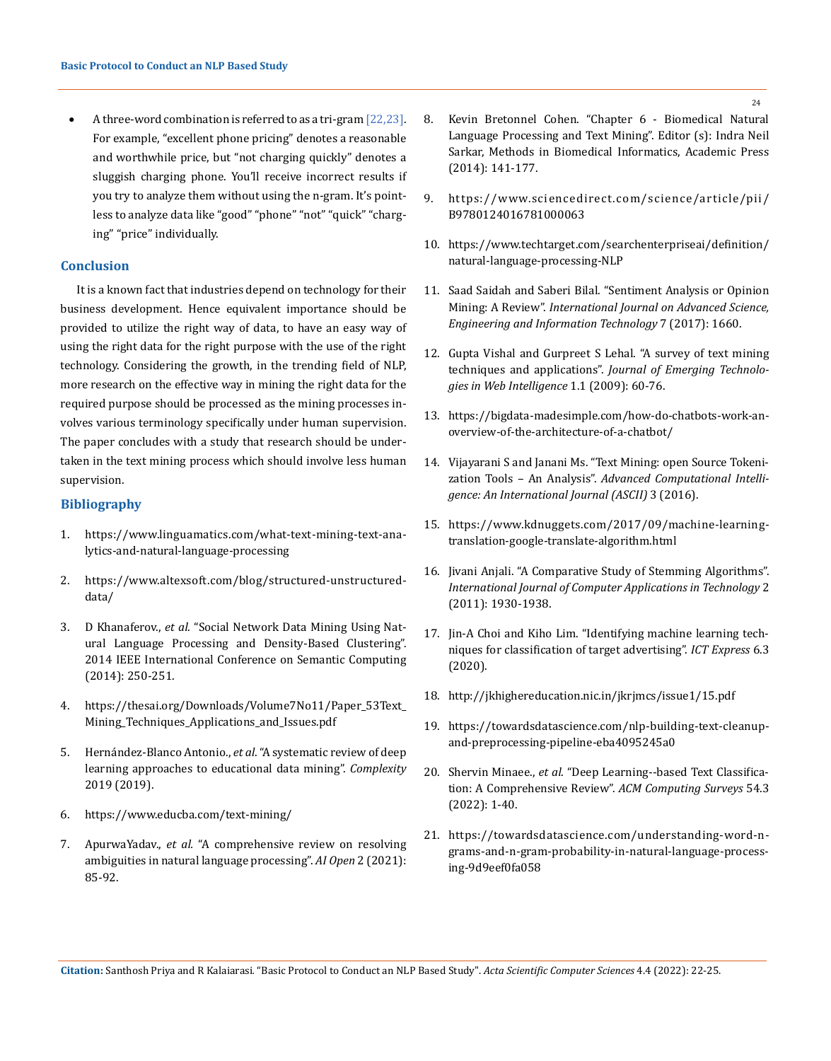A three-word combination is referred to as a tri-gram  $[22,23]$ . For example, "excellent phone pricing" denotes a reasonable and worthwhile price, but "not charging quickly" denotes a sluggish charging phone. You'll receive incorrect results if you try to analyze them without using the n-gram. It's pointless to analyze data like "good" "phone" "not" "quick" "charging" "price" individually.

## **Conclusion**

It is a known fact that industries depend on technology for their business development. Hence equivalent importance should be provided to utilize the right way of data, to have an easy way of using the right data for the right purpose with the use of the right technology. Considering the growth, in the trending field of NLP, more research on the effective way in mining the right data for the required purpose should be processed as the mining processes involves various terminology specifically under human supervision. The paper concludes with a study that research should be undertaken in the text mining process which should involve less human supervision.

#### **Bibliography**

- 1. [https://www.linguamatics.com/what-text-mining-text-ana](https://www.linguamatics.com/what-text-mining-text-analytics-and-natural-language-processing)[lytics-and-natural-language-processing](https://www.linguamatics.com/what-text-mining-text-analytics-and-natural-language-processing)
- 2. [https://www.altexsoft.com/blog/structured-unstructured](https://www.altexsoft.com/blog/structured-unstructured-data/)[data/](https://www.altexsoft.com/blog/structured-unstructured-data/)
- 3. D Khanaferov., *et al*[. "Social Network Data Mining Using Nat](https://ieeexplore.ieee.org/document/6882032?arnumber=6882032)[ural Language Processing and Density-Based Clustering".](https://ieeexplore.ieee.org/document/6882032?arnumber=6882032)  [2014 IEEE International Conference on Semantic Computing](https://ieeexplore.ieee.org/document/6882032?arnumber=6882032)  [\(2014\): 250-251.](https://ieeexplore.ieee.org/document/6882032?arnumber=6882032)
- 4. [https://thesai.org/Downloads/Volume7No11/Paper\\_53Text\\_](https://thesai.org/Downloads/Volume7No11/Paper_53Text_Mining_Techniques_Applications_and_Issues.pdf) [Mining\\_Techniques\\_Applications\\_and\\_Issues.pdf](https://thesai.org/Downloads/Volume7No11/Paper_53Text_Mining_Techniques_Applications_and_Issues.pdf)
- 5. Hernández-Blanco Antonio., *et al*[. "A systematic review of deep](https://www.hindawi.com/journals/complexity/2019/1306039/)  [learning approaches to educational data mining".](https://www.hindawi.com/journals/complexity/2019/1306039/) *Complexity* [2019 \(2019\).](https://www.hindawi.com/journals/complexity/2019/1306039/)
- 6. <https://www.educba.com/text-mining/>
- 7. ApurwaYadav., *et al.* ["A comprehensive review on resolving](https://doi.org/10.1016/j.aiopen.2021.05.001)  [ambiguities in natural language processing".](https://doi.org/10.1016/j.aiopen.2021.05.001) *AI Open* 2 (2021): [85-92.](https://doi.org/10.1016/j.aiopen.2021.05.001)
- 8. [Kevin Bretonnel Cohen. "Chapter 6 Biomedical Natural](https://doi.org/10.1016/B978-0-12-401678-1.00006-3)  [Language Processing and Text Mining". Editor \(s\): Indra Neil](https://doi.org/10.1016/B978-0-12-401678-1.00006-3)  [Sarkar, Methods in Biomedical Informatics, Academic Press](https://doi.org/10.1016/B978-0-12-401678-1.00006-3)  [\(2014\): 141-177.](https://doi.org/10.1016/B978-0-12-401678-1.00006-3)
- 9. [https://www.sciencedirect.com/science/article/pii/](https://www.sciencedirect.com/science/article/pii/B9780124016781000063) [B9780124016781000063](https://www.sciencedirect.com/science/article/pii/B9780124016781000063)
- 10. [https://www.techtarget.com/searchenterpriseai/definition/](https://www.techtarget.com/searchenterpriseai/definition/natural-language-processing-NLP) [natural-language-processing-NLP](https://www.techtarget.com/searchenterpriseai/definition/natural-language-processing-NLP)
- 11. [Saad Saidah and Saberi Bilal. "Sentiment Analysis or Opinion](https://ijaseit.insightsociety.org/index.php?option=com_content&view=article&id=9&Itemid=1&article_id=2137)  Mining: A Review". *[International Journal on Advanced Science,](https://ijaseit.insightsociety.org/index.php?option=com_content&view=article&id=9&Itemid=1&article_id=2137)  [Engineering and Information Technology](https://ijaseit.insightsociety.org/index.php?option=com_content&view=article&id=9&Itemid=1&article_id=2137)* 7 (2017): 1660.
- 12. [Gupta Vishal and Gurpreet S Lehal. "A survey of text mining](https://www.researchgate.net/publication/42802926_A_Survey_of_Text_Mining_Techniques_and_Applications)  techniques and applications". *[Journal of Emerging Technolo](https://www.researchgate.net/publication/42802926_A_Survey_of_Text_Mining_Techniques_and_Applications)[gies in Web Intelligence](https://www.researchgate.net/publication/42802926_A_Survey_of_Text_Mining_Techniques_and_Applications)* 1.1 (2009): 60-76.
- 13. [https://bigdata-madesimple.com/how-do-chatbots-work-an](https://bigdata-madesimple.com/how-do-chatbots-work-an-overview-of-the-architecture-of-a-chatbot/)[overview-of-the-architecture-of-a-chatbot/](https://bigdata-madesimple.com/how-do-chatbots-work-an-overview-of-the-architecture-of-a-chatbot/)
- 14. [Vijayarani S and Janani Ms. "Text Mining: open Source Tokeni](https://www.researchgate.net/publication/329800669_Text_Mining_Open_Source_Tokenization_Tools_An_Analysis)zation Tools – An Analysis". *[Advanced Computational Intelli](https://www.researchgate.net/publication/329800669_Text_Mining_Open_Source_Tokenization_Tools_An_Analysis)[gence: An International Journal \(ASCII\)](https://www.researchgate.net/publication/329800669_Text_Mining_Open_Source_Tokenization_Tools_An_Analysis)* 3 (2016).
- 15. [https://www.kdnuggets.com/2017/09/machine-learning](https://www.kdnuggets.com/2017/09/machine-learning-translation-google-translate-algorithm.html)[translation-google-translate-algorithm.html](https://www.kdnuggets.com/2017/09/machine-learning-translation-google-translate-algorithm.html)
- 16. [Jivani Anjali. "A Comparative Study of Stemming Algorithms".](https://www.researchgate.net/publication/284038938_A_Comparative_Study_of_Stemming_Algorithms)  *[International Journal of Computer Applications in Technology](https://www.researchgate.net/publication/284038938_A_Comparative_Study_of_Stemming_Algorithms)* 2 [\(2011\): 1930-1938.](https://www.researchgate.net/publication/284038938_A_Comparative_Study_of_Stemming_Algorithms)
- 17. [Jin-A Choi and Kiho Lim. "Identifying machine learning tech](https://www.sciencedirect.com/science/article/pii/S2405959520301090)[niques for classification of target advertising".](https://www.sciencedirect.com/science/article/pii/S2405959520301090) *ICT Express* 6.3 [\(2020\).](https://www.sciencedirect.com/science/article/pii/S2405959520301090)
- 18. <http://jkhighereducation.nic.in/jkrjmcs/issue1/15.pdf>
- 19. [https://towardsdatascience.com/nlp-building-text-cleanup](https://towardsdatascience.com/nlp-building-text-cleanup-and-preprocessing-pipeline-eba4095245a0)[and-preprocessing-pipeline-eba4095245a0](https://towardsdatascience.com/nlp-building-text-cleanup-and-preprocessing-pipeline-eba4095245a0)
- 20. Shervin Minaee., *et al*[. "Deep Learning--based Text Classifica](https://doi.org/10.1145/3439726)[tion: A Comprehensive Review".](https://doi.org/10.1145/3439726) *ACM Computing Surveys* 54.3 [\(2022\): 1-40.](https://doi.org/10.1145/3439726)
- 21. [https://towardsdatascience.com/understanding-word-n](https://towardsdatascience.com/understanding-word-n-grams-and-n-gram-probability-in-natural-language-processing-9d9eef0fa058)[grams-and-n-gram-probability-in-natural-language-process](https://towardsdatascience.com/understanding-word-n-grams-and-n-gram-probability-in-natural-language-processing-9d9eef0fa058)[ing-9d9eef0fa058](https://towardsdatascience.com/understanding-word-n-grams-and-n-gram-probability-in-natural-language-processing-9d9eef0fa058)

**Citation:** Santhosh Priya and R Kalaiarasi*.* "Basic Protocol to Conduct an NLP Based Study". *Acta Scientific Computer Sciences* 4.4 (2022): 22-25.